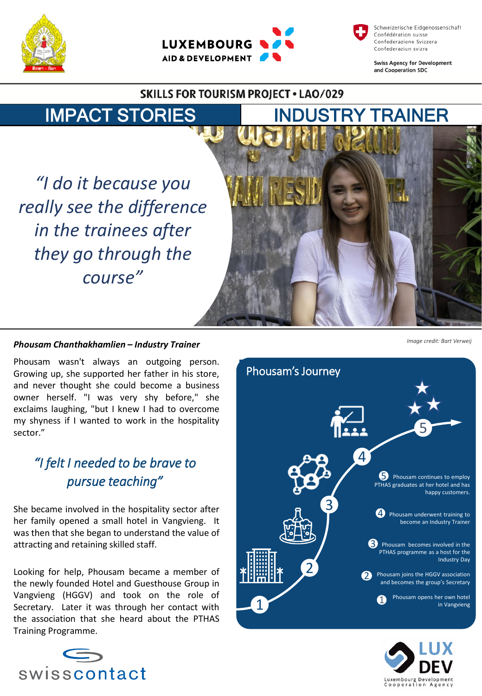





**Swiss Agency for Development** and Cooperation SDC

### **SKILLS FOR TOURISM PROJECT . LAO/029**



*"I do it because you really see the difference in the trainees after they go through the course"*



#### *Phousam Chanthakhamlien – Industry Trainer*

Phousam wasn't always an outgoing person. Growing up, she supported her father in his store, and never thought she could become a business owner herself. "I was very shy before," she exclaims laughing, "but I knew I had to overcome my shyness if I wanted to work in the hospitality sector."

# *"I felt I needed to be brave to pursue teaching"*

She became involved in the hospitality sector after her family opened a small hotel in Vangvieng. It was then that she began to understand the value of attracting and retaining skilled staff.

Looking for help, Phousam became a member of the newly founded Hotel and Guesthouse Group in Vangvieng (HGGV) and took on the role of Secretary. Later it was through her contact with the association that she heard about the PTHAS Training Programme.



*Image credit: Bart Verweij*